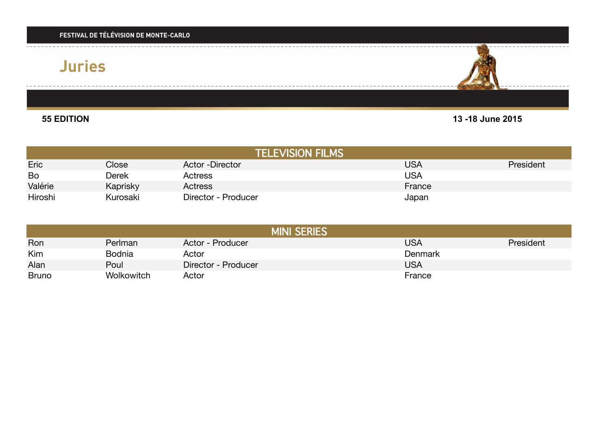#### **55 EDITION**

#### **13 -18 June 2015**

| <b>TELEVISION FILMS</b> |              |                        |            |           |  |
|-------------------------|--------------|------------------------|------------|-----------|--|
| Eric                    | <b>Close</b> | <b>Actor -Director</b> | <b>USA</b> | President |  |
| Bo                      | Derek        | Actress                | <b>USA</b> |           |  |
| Valérie                 | Kaprisky     | <b>Actress</b>         | France     |           |  |
| Hiroshi                 | Kurosaki     | Director - Producer    | Japan      |           |  |

| <b>MINI SERIES</b> |               |                     |            |           |  |
|--------------------|---------------|---------------------|------------|-----------|--|
| Ron                | Perlman       | Actor - Producer    | <b>USA</b> | President |  |
| Kim                | <b>Bodnia</b> | Actor               | Denmark    |           |  |
| Alan               | Poul          | Director - Producer | <b>USA</b> |           |  |
| <b>Bruno</b>       | Wolkowitch    | Actor               | France     |           |  |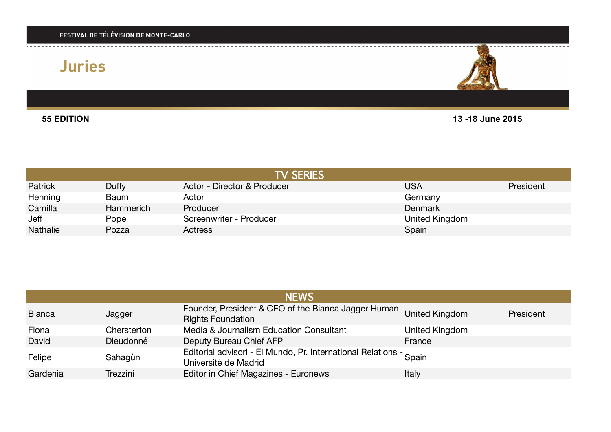**55 EDITION 13 -18 June 2015**

| <b>TV SERIES</b> |           |                             |                |           |  |
|------------------|-----------|-----------------------------|----------------|-----------|--|
| <b>Patrick</b>   | Duffy     | Actor - Director & Producer | <b>USA</b>     | President |  |
| Henning          | Baum      | Actor                       | Germany        |           |  |
| Camilla          | Hammerich | Producer                    | <b>Denmark</b> |           |  |
| Jeff             | Pope      | Screenwriter - Producer     | United Kingdom |           |  |
| Nathalie         | Pozza     | <b>Actress</b>              | Spain          |           |  |

| <b>NEWS</b>   |             |                                                                                            |                       |           |  |
|---------------|-------------|--------------------------------------------------------------------------------------------|-----------------------|-----------|--|
| <b>Bianca</b> | Jagger      | Founder, President & CEO of the Bianca Jagger Human<br><b>Rights Foundation</b>            | <b>United Kingdom</b> | President |  |
| Fiona         | Chersterton | Media & Journalism Education Consultant                                                    | United Kingdom        |           |  |
| David         | Dieudonné   | Deputy Bureau Chief AFP                                                                    | France                |           |  |
| Felipe        | Sahagùn     | Editorial advisorl - El Mundo, Pr. International Relations - Spain<br>Université de Madrid |                       |           |  |
| Gardenia      | Trezzini    | Editor in Chief Magazines - Euronews                                                       | Italy                 |           |  |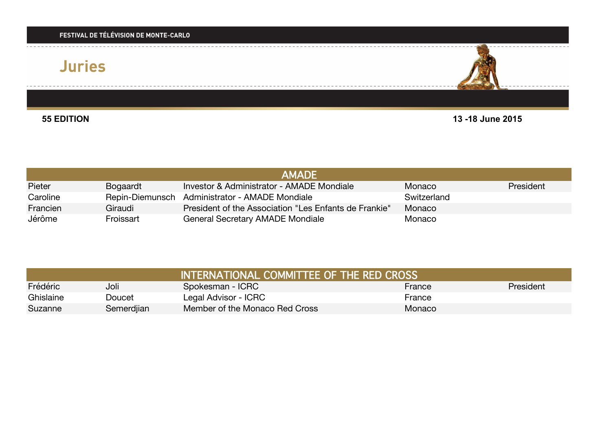**55 EDITION 13 -18 June 2015**

| <b>AMADE</b> |                 |                                                       |             |           |  |
|--------------|-----------------|-------------------------------------------------------|-------------|-----------|--|
| Pieter       | Bogaardt        | Investor & Administrator - AMADE Mondiale             | Monaco      | President |  |
| Caroline     | Repin-Diemunsch | <b>Administrator - AMADE Mondiale</b>                 | Switzerland |           |  |
| Francien     | Giraudi         | President of the Association "Les Enfants de Frankie" | Monaco      |           |  |
| Jérôme       | Froissart       | <b>General Secretary AMADE Mondiale</b>               | Monaco      |           |  |

| INTERNATIONAL COMMITTEE OF THE RED CROSS! |            |                                |        |           |  |
|-------------------------------------------|------------|--------------------------------|--------|-----------|--|
| Frédéric                                  | Joli       | Spokesman - ICRC               | France | President |  |
| Ghislaine                                 | Doucet     | Legal Advisor - ICRC           | France |           |  |
| Suzanne                                   | Semerdjian | Member of the Monaco Red Cross | Monaco |           |  |